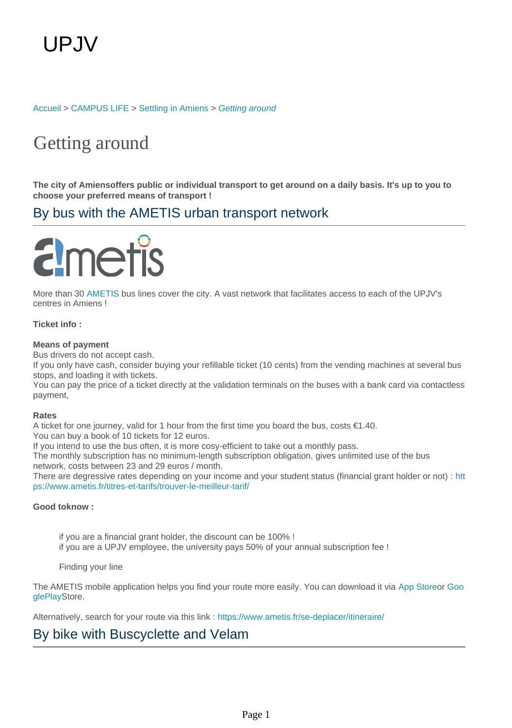[Accueil](https://welcome.u-picardie.fr/) > [CAMPUS LIFE](https://welcome.u-picardie.fr/campus-life/) > [Settling in Amiens](https://welcome.u-picardie.fr/campus-life/settling-in-amiens/) > [Getting around](https://welcome.u-picardie.fr/campus-life/settling-in-amiens/getting-around/)

## Getting around

**The city of Amiensoffers public or individual transport to get around on a daily basis. It's up to you to choose your preferred means of transport !**

## By bus with the AMETIS urban transport network

# netis

More than 30 [AMETIS](https://www.ametis.fr/) bus lines cover the city. A vast network that facilitates access to each of the UPJV's centres in Amiens !

### **Ticket info :**

#### **Means of payment**

Bus drivers do not accept cash.

If you only have cash, consider buying your refillable ticket (10 cents) from the vending machines at several bus stops, and loading it with tickets.

You can pay the price of a ticket directly at the validation terminals on the buses with a bank card via contactless payment,

#### **Rates**

A ticket for one journey, valid for 1 hour from the first time you board the bus, costs €1.40.

You can buy a book of 10 tickets for 12 euros.

If you intend to use the bus often, it is more cosy-efficient to take out a monthly pass.

The monthly subscription has no minimum-length subscription obligation, gives unlimited use of the bus network, costs between 23 and 29 euros / month.

There are degressive rates depending on your income and your student status (financial grant holder or not) : [htt](https://www.ametis.fr/titres-et-tarifs/trouver-le-meilleur-tarif/ ) [ps://www.ametis.fr/titres-et-tarifs/trouver-le-meilleur-tarif/](https://www.ametis.fr/titres-et-tarifs/trouver-le-meilleur-tarif/ )

#### **Good toknow :**

if you are a financial grant holder, the discount can be 100% ! if you are a UPJV employee, the university pays 50% of your annual subscription fee !

Finding your line

The AMETIS mobile application helps you find your route more easily. You can download it via [App Storeo](https://apps.apple.com/fr/app/ametis/id970368214)r [Goo](https://play.google.com/store/apps/details?id=com.canaltp.ametis&hl=en&gl=US) [glePlayS](https://play.google.com/store/apps/details?id=com.canaltp.ametis&hl=en&gl=US)tore.

Alternatively, search for your route via this link : <https://www.ametis.fr/se-deplacer/itineraire/>

## By bike with Buscyclette and Velam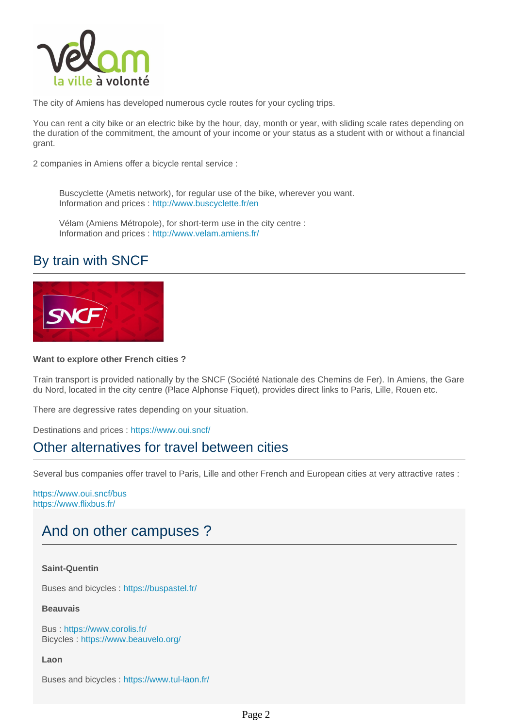

The city of Amiens has developed numerous cycle routes for your cycling trips.

You can rent a city bike or an electric bike by the hour, day, month or year, with sliding scale rates depending on the duration of the commitment, the amount of your income or your status as a student with or without a financial grant.

2 companies in Amiens offer a bicycle rental service :

Buscyclette (Ametis network), for regular use of the bike, wherever you want. Information and prices : <http://www.buscyclette.fr/en>

Vélam (Amiens Métropole), for short-term use in the city centre : Information and prices : <http://www.velam.amiens.fr/>

## By train with SNCF



#### **Want to explore other French cities ?**

Train transport is provided nationally by the SNCF (Société Nationale des Chemins de Fer). In Amiens, the Gare du Nord, located in the city centre (Place Alphonse Fiquet), provides direct links to Paris, Lille, Rouen etc.

There are degressive rates depending on your situation.

Destinations and prices : [https://www.oui.sncf/](https://www.oui.sncf/ )

## Other alternatives for travel between cities

Several bus companies offer travel to Paris, Lille and other French and European cities at very attractive rates :

<https://www.oui.sncf/bus> <https://www.flixbus.fr/>

## And on other campuses ?

**Saint-Quentin**

Buses and bicycles :<https://buspastel.fr/>

**Beauvais**

Bus : <https://www.corolis.fr/> Bicycles :<https://www.beauvelo.org/>

**Laon**

Buses and bicycles :<https://www.tul-laon.fr/>